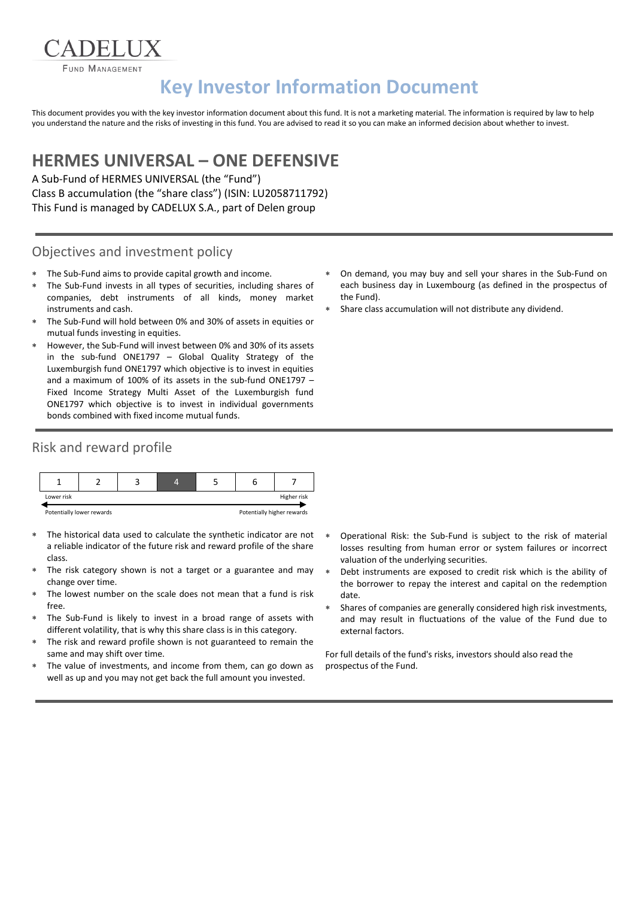**FUND MANAGEMENT** 

# **Key Investor Information Document**

This document provides you with the key investor information document about this fund. It is not a marketing material. The information is required by law to help you understand the nature and the risks of investing in this fund. You are advised to read it so you can make an informed decision about whether to invest.

## **HERMES UNIVERSAL – ONE DEFENSIVE**

A Sub-Fund of HERMES UNIVERSAL (the "Fund") Class B accumulation (the "share class") (ISIN: LU2058711792) This Fund is managed by CADELUX S.A., part of Delen group

#### Objectives and investment policy

- The Sub-Fund aims to provide capital growth and income.
- The Sub-Fund invests in all types of securities, including shares of companies, debt instruments of all kinds, money market instruments and cash.
- The Sub-Fund will hold between 0% and 30% of assets in equities or mutual funds investing in equities.
- However, the Sub-Fund will invest between 0% and 30% of its assets in the sub-fund ONE1797 – Global Quality Strategy of the Luxemburgish fund ONE1797 which objective is to invest in equities and a maximum of 100% of its assets in the sub-fund ONE1797 – Fixed Income Strategy Multi Asset of the Luxemburgish fund ONE1797 which objective is to invest in individual governments bonds combined with fixed income mutual funds.

#### Risk and reward profile



- The historical data used to calculate the synthetic indicator are not a reliable indicator of the future risk and reward profile of the share class.
- The risk category shown is not a target or a guarantee and may change over time.
- The lowest number on the scale does not mean that a fund is risk free.
- The Sub-Fund is likely to invest in a broad range of assets with different volatility, that is why this share class is in this category.
- The risk and reward profile shown is not guaranteed to remain the same and may shift over time.
- The value of investments, and income from them, can go down as well as up and you may not get back the full amount you invested.
- On demand, you may buy and sell your shares in the Sub-Fund on each business day in Luxembourg (as defined in the prospectus of the Fund).
- Share class accumulation will not distribute any dividend.

- Operational Risk: the Sub-Fund is subject to the risk of material losses resulting from human error or system failures or incorrect valuation of the underlying securities.
- Debt instruments are exposed to credit risk which is the ability of the borrower to repay the interest and capital on the redemption date.
- Shares of companies are generally considered high risk investments, and may result in fluctuations of the value of the Fund due to external factors.

For full details of the fund's risks, investors should also read the prospectus of the Fund.